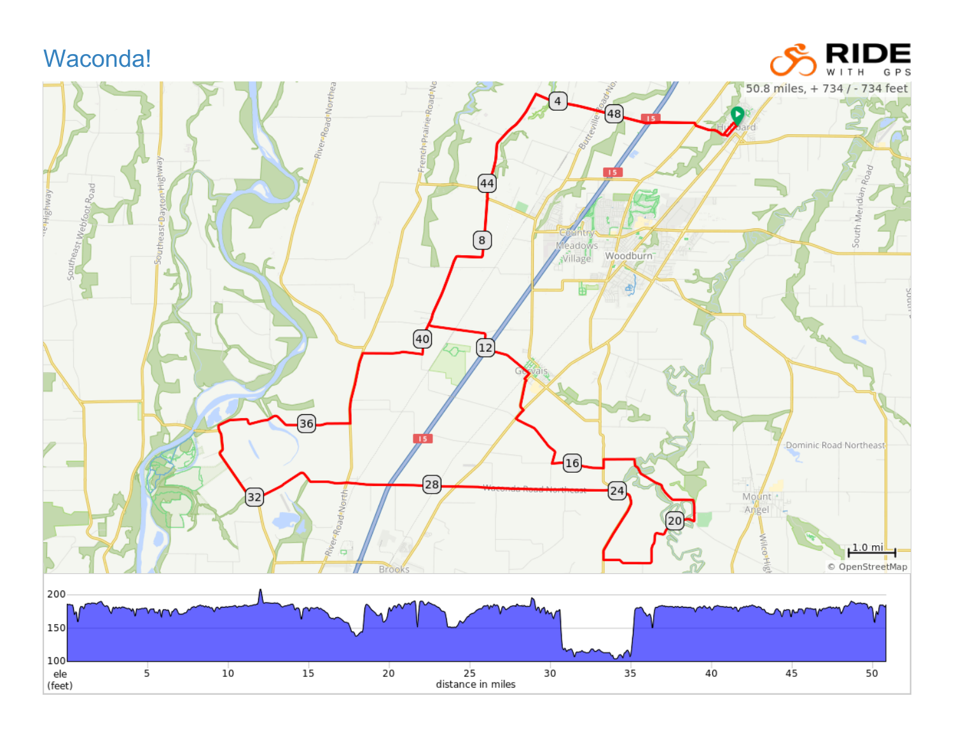## Waconda!



**RIDE**